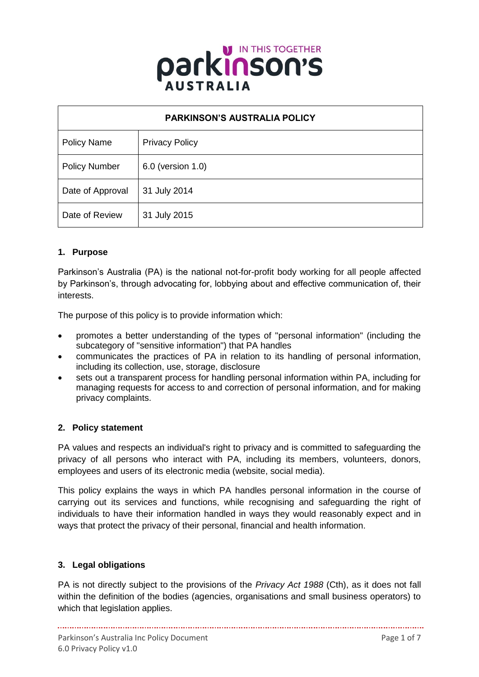

| <b>PARKINSON'S AUSTRALIA POLICY</b> |                       |
|-------------------------------------|-----------------------|
| <b>Policy Name</b>                  | <b>Privacy Policy</b> |
| <b>Policy Number</b>                | 6.0 (version 1.0)     |
| Date of Approval                    | 31 July 2014          |
| Date of Review                      | 31 July 2015          |

# **1. Purpose**

Parkinson's Australia (PA) is the national not-for-profit body working for all people affected by Parkinson's, through advocating for, lobbying about and effective communication of, their interests.

The purpose of this policy is to provide information which:

- promotes a better understanding of the types of "personal information" (including the subcategory of "sensitive information") that PA handles
- communicates the practices of PA in relation to its handling of personal information, including its collection, use, storage, disclosure
- sets out a transparent process for handling personal information within PA, including for managing requests for access to and correction of personal information, and for making privacy complaints.

# **2. Policy statement**

PA values and respects an individual's right to privacy and is committed to safeguarding the privacy of all persons who interact with PA, including its members, volunteers, donors, employees and users of its electronic media (website, social media).

This policy explains the ways in which PA handles personal information in the course of carrying out its services and functions, while recognising and safeguarding the right of individuals to have their information handled in ways they would reasonably expect and in ways that protect the privacy of their personal, financial and health information.

# **3. Legal obligations**

PA is not directly subject to the provisions of the *Privacy Act 1988* (Cth), as it does not fall within the definition of the bodies (agencies, organisations and small business operators) to which that legislation applies.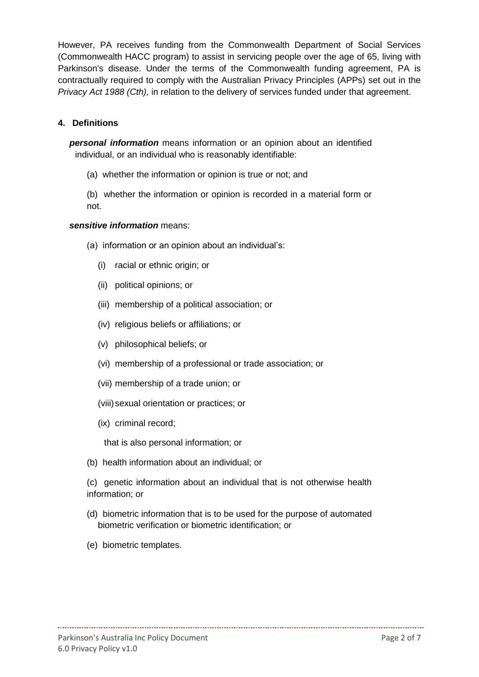However, PA receives funding from the Commonwealth Department of Social Services (Commonwealth HACC program) to assist in servicing people over the age of 65, living with Parkinson's disease. Under the terms of the Commonwealth funding agreement, PA is contractually required to comply with the Australian Privacy Principles (APPs) set out in the *Privacy Act 1988 (Cth),* in relation to the delivery of services funded under that agreement.

#### **4. Definitions**

*personal information* means information or an opinion about an identified individual, or an individual who is reasonably identifiable:

- (a) whether the information or opinion is true or not; and
- (b) whether the information or opinion is recorded in a material form or not.

#### *sensitive information* means:

- (a) information or an opinion about an individual's:
	- (i) racial or ethnic origin; or
	- (ii) political opinions; or
	- (iii) membership of a political association; or
	- (iv) religious beliefs or affiliations; or
	- (v) philosophical beliefs; or
	- (vi) membership of a professional or trade association; or
	- (vii) membership of a trade union; or
	- (viii)sexual orientation or practices; or
	- (ix) criminal record;

that is also personal information; or

- (b) health information about an individual; or
- (c) genetic information about an individual that is not otherwise health information; or
- (d) biometric information that is to be used for the purpose of automated biometric verification or biometric identification; or

(e) biometric templates.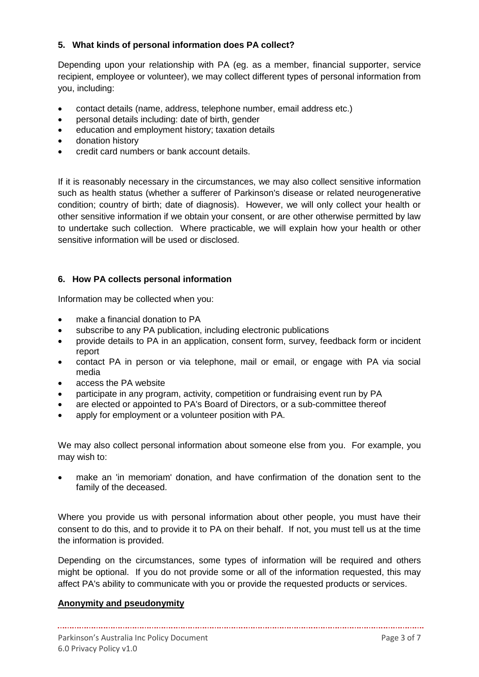# **5. What kinds of personal information does PA collect?**

Depending upon your relationship with PA (eg. as a member, financial supporter, service recipient, employee or volunteer), we may collect different types of personal information from you, including:

- contact details (name, address, telephone number, email address etc.)
- personal details including: date of birth, gender
- education and employment history; taxation details
- donation history
- credit card numbers or bank account details.

If it is reasonably necessary in the circumstances, we may also collect sensitive information such as health status (whether a sufferer of Parkinson's disease or related neurogenerative condition; country of birth; date of diagnosis). However, we will only collect your health or other sensitive information if we obtain your consent, or are other otherwise permitted by law to undertake such collection. Where practicable, we will explain how your health or other sensitive information will be used or disclosed.

#### **6. How PA collects personal information**

Information may be collected when you:

- make a financial donation to PA
- subscribe to any PA publication, including electronic publications
- provide details to PA in an application, consent form, survey, feedback form or incident report
- contact PA in person or via telephone, mail or email, or engage with PA via social media
- access the PA website
- participate in any program, activity, competition or fundraising event run by PA
- are elected or appointed to PA's Board of Directors, or a sub-committee thereof
- apply for employment or a volunteer position with PA.

We may also collect personal information about someone else from you. For example, you may wish to:

 make an 'in memoriam' donation, and have confirmation of the donation sent to the family of the deceased.

Where you provide us with personal information about other people, you must have their consent to do this, and to provide it to PA on their behalf. If not, you must tell us at the time the information is provided.

Depending on the circumstances, some types of information will be required and others might be optional. If you do not provide some or all of the information requested, this may affect PA's ability to communicate with you or provide the requested products or services.

#### **Anonymity and pseudonymity**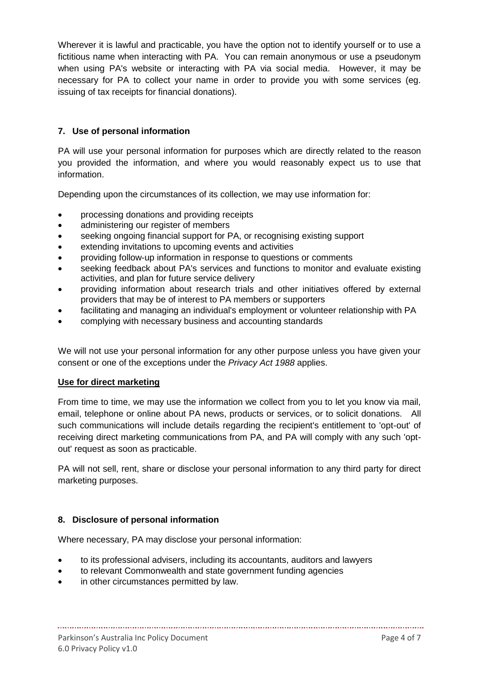Wherever it is lawful and practicable, you have the option not to identify yourself or to use a fictitious name when interacting with PA. You can remain anonymous or use a pseudonym when using PA's website or interacting with PA via social media. However, it may be necessary for PA to collect your name in order to provide you with some services (eg. issuing of tax receipts for financial donations).

# **7. Use of personal information**

PA will use your personal information for purposes which are directly related to the reason you provided the information, and where you would reasonably expect us to use that information.

Depending upon the circumstances of its collection, we may use information for:

- processing donations and providing receipts
- administering our register of members
- seeking ongoing financial support for PA, or recognising existing support
- extending invitations to upcoming events and activities
- providing follow-up information in response to questions or comments
- seeking feedback about PA's services and functions to monitor and evaluate existing activities, and plan for future service delivery
- providing information about research trials and other initiatives offered by external providers that may be of interest to PA members or supporters
- facilitating and managing an individual's employment or volunteer relationship with PA
- complying with necessary business and accounting standards

We will not use your personal information for any other purpose unless you have given your consent or one of the exceptions under the *Privacy Act 1988* applies.

# **Use for direct marketing**

From time to time, we may use the information we collect from you to let you know via mail, email, telephone or online about PA news, products or services, or to solicit donations. All such communications will include details regarding the recipient's entitlement to 'opt-out' of receiving direct marketing communications from PA, and PA will comply with any such 'optout' request as soon as practicable.

PA will not sell, rent, share or disclose your personal information to any third party for direct marketing purposes.

# **8. Disclosure of personal information**

Where necessary, PA may disclose your personal information:

to its professional advisers, including its accountants, auditors and lawyers

- to relevant Commonwealth and state government funding agencies
- in other circumstances permitted by law.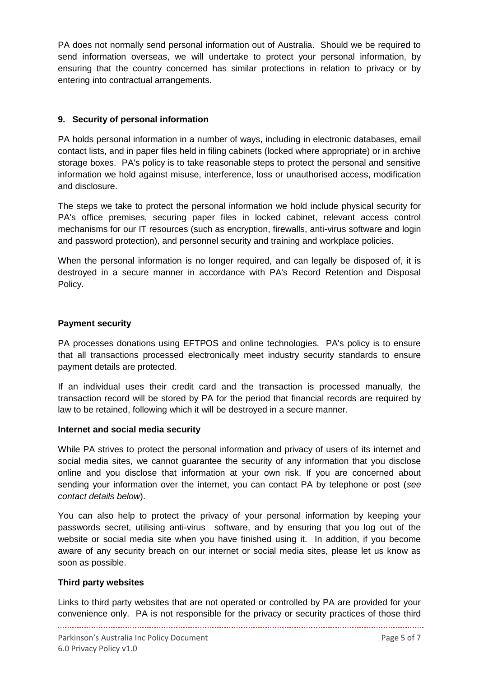PA does not normally send personal information out of Australia. Should we be required to send information overseas, we will undertake to protect your personal information, by ensuring that the country concerned has similar protections in relation to privacy or by entering into contractual arrangements.

# **9. Security of personal information**

PA holds personal information in a number of ways, including in electronic databases, email contact lists, and in paper files held in filing cabinets (locked where appropriate) or in archive storage boxes. PA's policy is to take reasonable steps to protect the personal and sensitive information we hold against misuse, interference, loss or unauthorised access, modification and disclosure.

The steps we take to protect the personal information we hold include physical security for PA's office premises, securing paper files in locked cabinet, relevant access control mechanisms for our IT resources (such as encryption, firewalls, anti-virus software and login and password protection), and personnel security and training and workplace policies.

When the personal information is no longer required, and can legally be disposed of, it is destroyed in a secure manner in accordance with PA's Record Retention and Disposal Policy.

#### **Payment security**

PA processes donations using EFTPOS and online technologies. PA's policy is to ensure that all transactions processed electronically meet industry security standards to ensure payment details are protected.

If an individual uses their credit card and the transaction is processed manually, the transaction record will be stored by PA for the period that financial records are required by law to be retained, following which it will be destroyed in a secure manner.

#### **Internet and social media security**

While PA strives to protect the personal information and privacy of users of its internet and social media sites, we cannot guarantee the security of any information that you disclose online and you disclose that information at your own risk. If you are concerned about sending your information over the internet, you can contact PA by telephone or post (*see contact details below*).

You can also help to protect the privacy of your personal information by keeping your passwords secret, utilising anti-virus software, and by ensuring that you log out of the website or social media site when you have finished using it. In addition, if you become aware of any security breach on our internet or social media sites, please let us know as soon as possible.

#### **Third party websites**

Links to third party websites that are not operated or controlled by PA are provided for your convenience only. PA is not responsible for the privacy or security practices of those third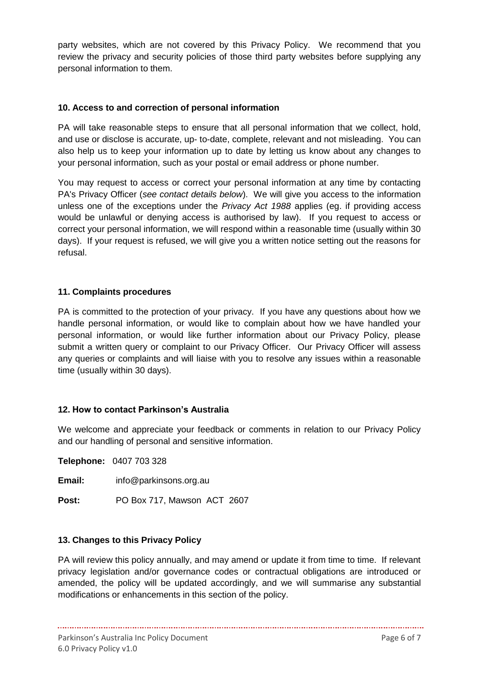party websites, which are not covered by this Privacy Policy. We recommend that you review the privacy and security policies of those third party websites before supplying any personal information to them.

# **10. Access to and correction of personal information**

PA will take reasonable steps to ensure that all personal information that we collect, hold, and use or disclose is accurate, up- to-date, complete, relevant and not misleading. You can also help us to keep your information up to date by letting us know about any changes to your personal information, such as your postal or email address or phone number.

You may request to access or correct your personal information at any time by contacting PA's Privacy Officer (*see contact details below*). We will give you access to the information unless one of the exceptions under the *Privacy Act 1988* applies (eg. if providing access would be unlawful or denying access is authorised by law). If you request to access or correct your personal information, we will respond within a reasonable time (usually within 30 days). If your request is refused, we will give you a written notice setting out the reasons for refusal.

#### **11. Complaints procedures**

PA is committed to the protection of your privacy. If you have any questions about how we handle personal information, or would like to complain about how we have handled your personal information, or would like further information about our Privacy Policy, please submit a written query or complaint to our Privacy Officer. Our Privacy Officer will assess any queries or complaints and will liaise with you to resolve any issues within a reasonable time (usually within 30 days).

# **12. How to contact Parkinson's Australia**

We welcome and appreciate your feedback or comments in relation to our Privacy Policy and our handling of personal and sensitive information.

**Telephone:** 0407 703 328

**Email:** info@parkinsons.org.au

**Post:** PO Box 717, Mawson ACT 2607

#### **13. Changes to this Privacy Policy**

PA will review this policy annually, and may amend or update it from time to time. If relevant privacy legislation and/or governance codes or contractual obligations are introduced or amended, the policy will be updated accordingly, and we will summarise any substantial modifications or enhancements in this section of the policy.